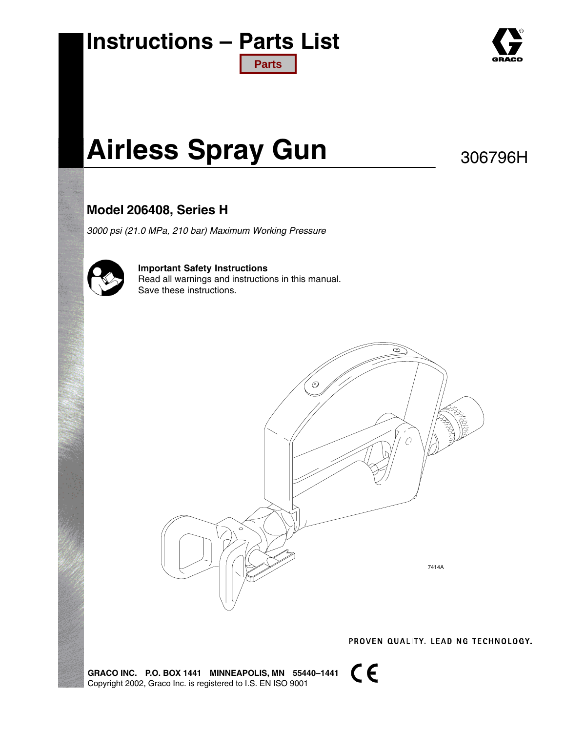## **Instructions – Parts List [Parts](#page-11-0)**



# **Airless Spray Gun**

306796H

### **Model 206408, Series H**

*3000 psi (21.0 MPa, 210 bar) Maximum Working Pressure*



**Important Safety Instructions** Read all warnings and instructions in this manual. Save these instructions.



PROVEN QUALITY. LEADING TECHNOLOGY.

**GRACO INC. P.O. BOX 1441 MINNEAPOLIS, MN 55440–1441** Copyright 2002, Graco Inc. is registered to I.S. EN ISO 9001

 $C \in$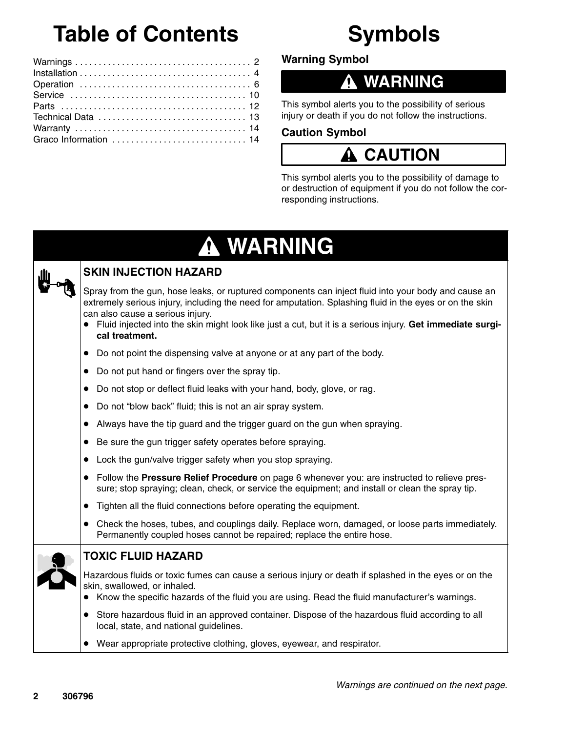# **Table of Contents**

# **Symbols**

**Warning Symbol**

## **WARNING**

This symbol alerts you to the possibility of serious injury or death if you do not follow the instructions.

#### **Caution Symbol**

## **A** CAUTION

This symbol alerts you to the possibility of damage to or destruction of equipment if you do not follow the corresponding instructions.

#### **WARNING** 4



### **SKIN INJECTION HAZARD**

Spray from the gun, hose leaks, or ruptured components can inject fluid into your body and cause an extremely serious injury, including the need for amputation. Splashing fluid in the eyes or on the skin can also cause a serious injury.

- Fluid injected into the skin might look like just a cut, but it is a serious injury. **Get immediate surgical treatment.**
- Do not point the dispensing valve at anyone or at any part of the body.
- Do not put hand or fingers over the spray tip.
- Do not stop or deflect fluid leaks with your hand, body, glove, or rag.
- Do not "blow back" fluid; this is not an air spray system.
- Always have the tip guard and the trigger guard on the gun when spraying.
- Be sure the gun trigger safety operates before spraying.
- Lock the gun/valve trigger safety when you stop spraying.
- Follow the **Pressure Relief Procedure** on page 6 whenever you: are instructed to relieve pressure; stop spraying; clean, check, or service the equipment; and install or clean the spray tip.
- $\bullet$ Tighten all the fluid connections before operating the equipment.
- Check the hoses, tubes, and couplings daily. Replace worn, damaged, or loose parts immediately. Permanently coupled hoses cannot be repaired; replace the entire hose.



#### **TOXIC FLUID HAZARD**

Hazardous fluids or toxic fumes can cause a serious injury or death if splashed in the eyes or on the skin, swallowed, or inhaled.

- Know the specific hazards of the fluid you are using. Read the fluid manufacturer's warnings.
- Store hazardous fluid in an approved container. Dispose of the hazardous fluid according to all local, state, and national guidelines.
- Wear appropriate protective clothing, gloves, eyewear, and respirator.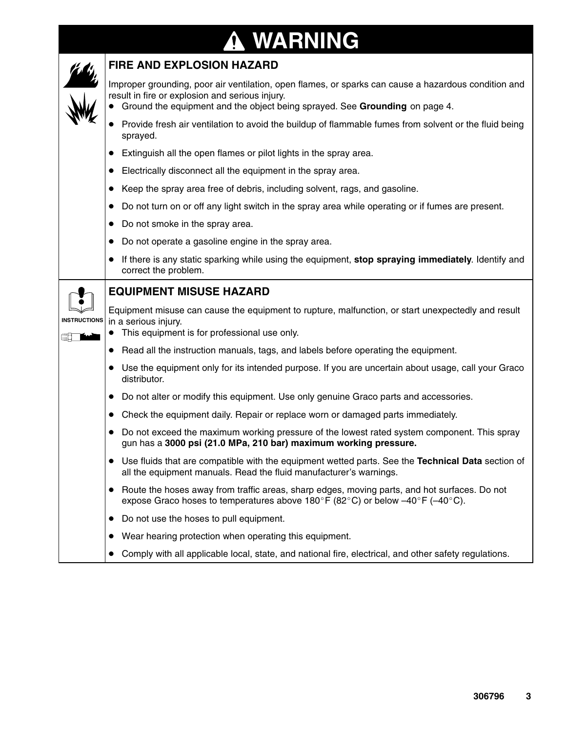# **WARNING**



#### **FIRE AND EXPLOSION HAZARD**

Improper grounding, poor air ventilation, open flames, or sparks can cause a hazardous condition and result in fire or explosion and serious injury.

- $\bullet$ Ground the equipment and the object being sprayed. See **Grounding** on page 4.
- $\bullet$  Provide fresh air ventilation to avoid the buildup of flammable fumes from solvent or the fluid being sprayed.
- $\bullet$ Extinguish all the open flames or pilot lights in the spray area.
- $\bullet$ Electrically disconnect all the equipment in the spray area.
- $\bullet$ Keep the spray area free of debris, including solvent, rags, and gasoline.
- $\bullet$ Do not turn on or off any light switch in the spray area while operating or if fumes are present.
- $\bullet$ Do not smoke in the spray area.
- $\bullet$ Do not operate a gasoline engine in the spray area.
- $\bullet$  If there is any static sparking while using the equipment, **stop spraying immediately**. Identify and correct the problem.

**INSTRUCTIONS**

▓▊▔█▆

#### **EQUIPMENT MISUSE HAZARD**

Equipment misuse can cause the equipment to rupture, malfunction, or start unexpectedly and result in a serious injury.

- $\bullet$ This equipment is for professional use only.
- $\bullet$ Read all the instruction manuals, tags, and labels before operating the equipment.
- 0 Use the equipment only for its intended purpose. If you are uncertain about usage, call your Graco distributor.
- $\bullet$ Do not alter or modify this equipment. Use only genuine Graco parts and accessories.
- $\bullet$ Check the equipment daily. Repair or replace worn or damaged parts immediately.
- $\bullet$  Do not exceed the maximum working pressure of the lowest rated system component. This spray gun has a **3000 psi (21.0 MPa, 210 bar) maximum working pressure.**
- $\bullet$  Use fluids that are compatible with the equipment wetted parts. See the **Technical Data** section of all the equipment manuals. Read the fluid manufacturer's warnings.
- $\bullet$  Route the hoses away from traffic areas, sharp edges, moving parts, and hot surfaces. Do not expose Graco hoses to temperatures above  $180^\circ$ F (82 $^\circ$ C) or below -40 $^\circ$ F (-40 $^\circ$ C).
- $\bullet$ Do not use the hoses to pull equipment.
- $\bullet$ Wear hearing protection when operating this equipment.
- $\bullet$ Comply with all applicable local, state, and national fire, electrical, and other safety regulations.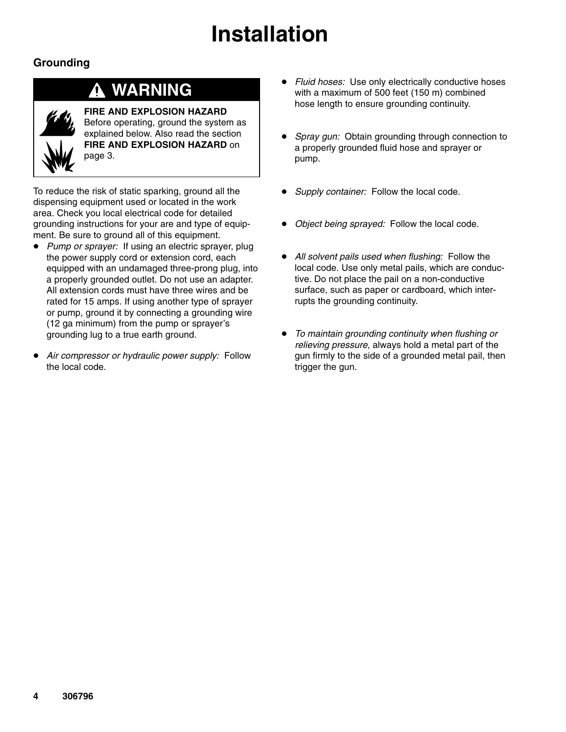# **Installation**

### **Grounding**

## **WARNING**

**FIRE AND EXPLOSION HAZARD** Before operating, ground the system as explained below. Also read the section **FIRE AND EXPLOSION HAZARD** on page 3.

To reduce the risk of static sparking, ground all the dispensing equipment used or located in the work area. Check you local electrical code for detailed grounding instructions for your are and type of equipment. Be sure to ground all of this equipment.

- $\bullet$  *Pump or sprayer:* If using an electric sprayer, plug the power supply cord or extension cord, each equipped with an undamaged three-prong plug, into a properly grounded outlet. Do not use an adapter. All extension cords must have three wires and be rated for 15 amps. If using another type of sprayer or pump, ground it by connecting a grounding wire (12 ga minimum) from the pump or sprayer's grounding lug to a true earth ground.
- $\bullet$  *Air compressor or hydraulic power supply:* Follow the local code.
- $\bullet$  *Fluid hoses:* Use only electrically conductive hoses with a maximum of 500 feet (150 m) combined hose length to ensure grounding continuity.
- $\bullet$  *Spray gun:* Obtain grounding through connection to a properly grounded fluid hose and sprayer or pump.
- $\bullet$ *Supply container:* Follow the local code.
- $\bullet$ *Object being sprayed:* Follow the local code.
- *All solvent pails used when flushing:* Follow the local code. Use only metal pails, which are conductive. Do not place the pail on a non-conductive surface, such as paper or cardboard, which interrupts the grounding continuity.
- $\bullet$  *To maintain grounding continuity when flushing or relieving pressure*, always hold a metal part of the gun firmly to the side of a grounded metal pail, then trigger the gun.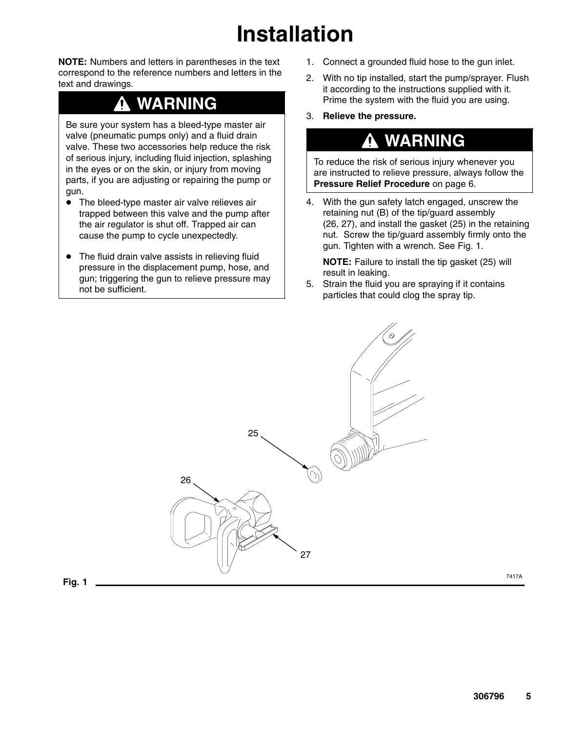# **Installation**

**NOTE:** Numbers and letters in parentheses in the text correspond to the reference numbers and letters in the text and drawings.

## **WARNING**

Be sure your system has a bleed-type master air valve (pneumatic pumps only) and a fluid drain valve. These two accessories help reduce the risk of serious injury, including fluid injection, splashing in the eyes or on the skin, or injury from moving parts, if you are adjusting or repairing the pump or gun.

- $\bullet$  The bleed-type master air valve relieves air trapped between this valve and the pump after the air regulator is shut off. Trapped air can cause the pump to cycle unexpectedly.
- $\bullet$  The fluid drain valve assists in relieving fluid pressure in the displacement pump, hose, and gun; triggering the gun to relieve pressure may not be sufficient.
- 1. Connect a grounded fluid hose to the gun inlet.
- 2. With no tip installed, start the pump/sprayer. Flush it according to the instructions supplied with it. Prime the system with the fluid you are using.
- 3. **Relieve the pressure.**

## **WARNING**

To reduce the risk of serious injury whenever you are instructed to relieve pressure, always follow the **Pressure Relief Procedure** on page 6.

4. With the gun safety latch engaged, unscrew the retaining nut (B) of the tip/guard assembly (26, 27), and install the gasket (25) in the retaining nut. Screw the tip/guard assembly firmly onto the gun. Tighten with a wrench. See Fig. 1.

**NOTE:** Failure to install the tip gasket (25) will result in leaking.

5. Strain the fluid you are spraying if it contains particles that could clog the spray tip.

 $\odot$ 

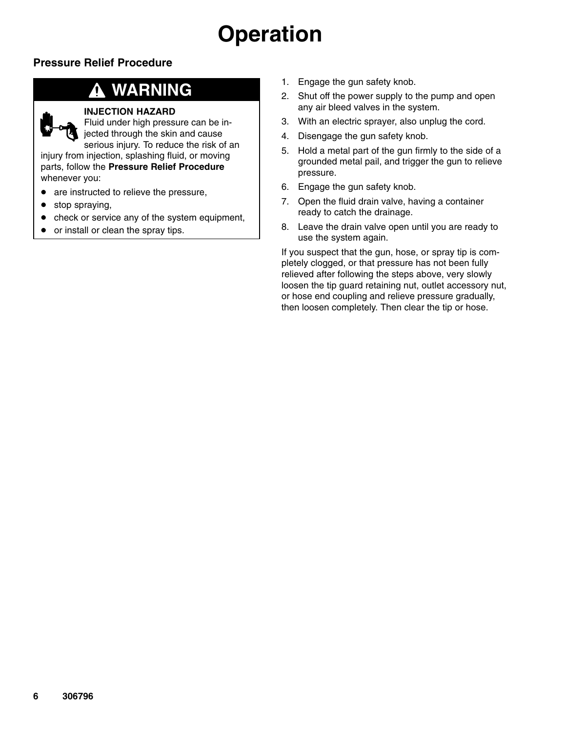#### **Pressure Relief Procedure**

## **WARNING**

#### **INJECTION HAZARD**

Fluid under high pressure can be injected through the skin and cause

serious injury. To reduce the risk of an injury from injection, splashing fluid, or moving parts, follow the **Pressure Relief Procedure** whenever you:

- $\bullet$ are instructed to relieve the pressure,
- $\bullet$ stop spraying,
- $\bullet$ check or service any of the system equipment,
- $\bullet$ or install or clean the spray tips.
- 1. Engage the gun safety knob.
- 2. Shut off the power supply to the pump and open any air bleed valves in the system.
- 3. With an electric sprayer, also unplug the cord.
- 4. Disengage the gun safety knob.
- 5. Hold a metal part of the gun firmly to the side of a grounded metal pail, and trigger the gun to relieve pressure.
- 6. Engage the gun safety knob.
- 7. Open the fluid drain valve, having a container ready to catch the drainage.
- 8. Leave the drain valve open until you are ready to use the system again.

If you suspect that the gun, hose, or spray tip is completely clogged, or that pressure has not been fully relieved after following the steps above, very slowly loosen the tip guard retaining nut, outlet accessory nut, or hose end coupling and relieve pressure gradually, then loosen completely. Then clear the tip or hose.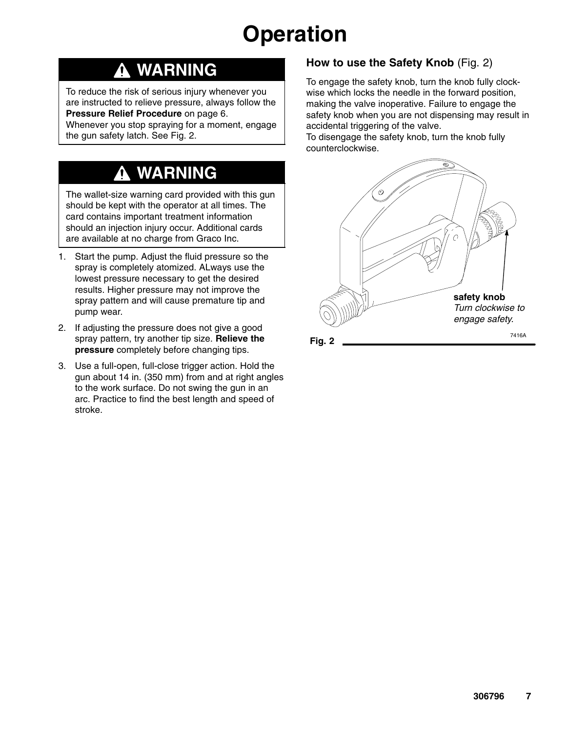## **WARNING**

To reduce the risk of serious injury whenever you are instructed to relieve pressure, always follow the **Pressure Relief Procedure** on page 6.

Whenever you stop spraying for a moment, engage the gun safety latch. See Fig. 2.

# **WARNING**

The wallet-size warning card provided with this gun should be kept with the operator at all times. The card contains important treatment information should an injection injury occur. Additional cards are available at no charge from Graco Inc.

- 1. Start the pump. Adjust the fluid pressure so the spray is completely atomized. ALways use the lowest pressure necessary to get the desired results. Higher pressure may not improve the spray pattern and will cause premature tip and pump wear.
- 2. If adjusting the pressure does not give a good spray pattern, try another tip size. **Relieve the pressure** completely before changing tips.
- 3. Use a full-open, full-close trigger action. Hold the gun about 14 in. (350 mm) from and at right angles to the work surface. Do not swing the gun in an arc. Practice to find the best length and speed of stroke.

#### **How to use the Safety Knob** (Fig. 2)

To engage the safety knob, turn the knob fully clockwise which locks the needle in the forward position, making the valve inoperative. Failure to engage the safety knob when you are not dispensing may result in accidental triggering of the valve.

To disengage the safety knob, turn the knob fully counterclockwise.

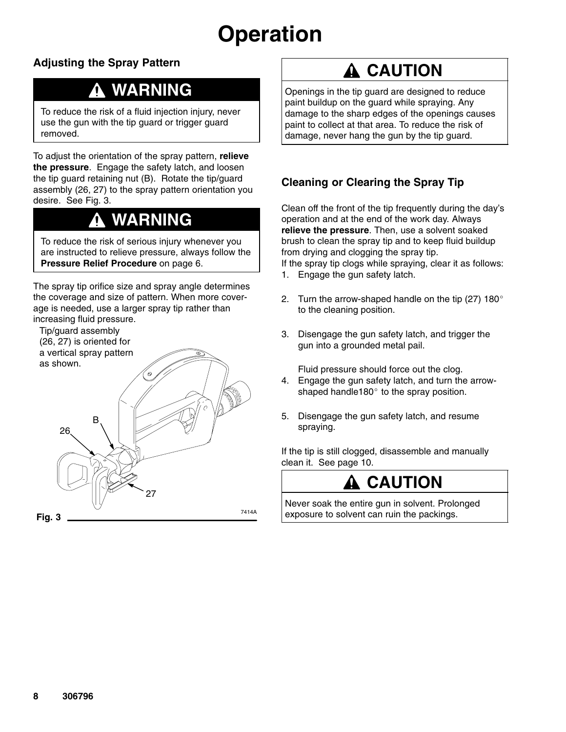### **Adjusting the Spray Pattern**

## **WARNING**

To reduce the risk of a fluid injection injury, never use the gun with the tip guard or trigger guard removed.

To adjust the orientation of the spray pattern, **relieve the pressure**. Engage the safety latch, and loosen the tip guard retaining nut (B). Rotate the tip/guard assembly (26, 27) to the spray pattern orientation you desire. See Fig. 3.

## **WARNING**

To reduce the risk of serious injury whenever you are instructed to relieve pressure, always follow the **Pressure Relief Procedure** on page 6.

The spray tip orifice size and spray angle determines the coverage and size of pattern. When more coverage is needed, use a larger spray tip rather than increasing fluid pressure.

Tip/guard assembly (26, 27) is oriented for a vertical spray pattern as shown.



## **A CAUTION**

Openings in the tip guard are designed to reduce paint buildup on the guard while spraying. Any damage to the sharp edges of the openings causes paint to collect at that area. To reduce the risk of damage, never hang the gun by the tip guard.

### **Cleaning or Clearing the Spray Tip**

Clean off the front of the tip frequently during the day's operation and at the end of the work day. Always **relieve the pressure**. Then, use a solvent soaked brush to clean the spray tip and to keep fluid buildup from drying and clogging the spray tip.

If the spray tip clogs while spraying, clear it as follows:

- 1. Engage the gun safety latch.
- 2. Turn the arrow-shaped handle on the tip (27) 180 $^{\circ}$ to the cleaning position.
- 3. Disengage the gun safety latch, and trigger the gun into a grounded metal pail.

Fluid pressure should force out the clog.

- 4. Engage the gun safety latch, and turn the arrowshaped handle180 $^{\circ}$  to the spray position.
- 5. Disengage the gun safety latch, and resume spraying.

If the tip is still clogged, disassemble and manually clean it. See page 10.

## **CAUTION**

Never soak the entire gun in solvent. Prolonged exposure to solvent can ruin the packings.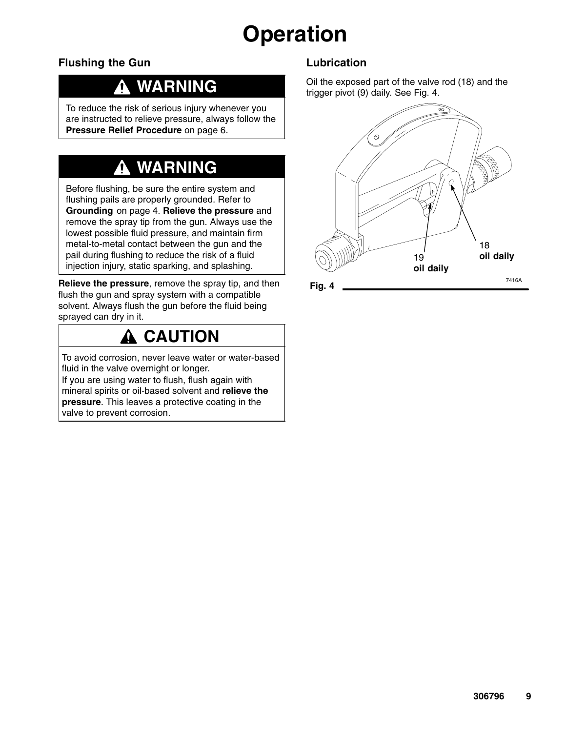#### **Flushing the Gun**

## **WARNING**

To reduce the risk of serious injury whenever you are instructed to relieve pressure, always follow the **Pressure Relief Procedure** on page 6.

## **WARNING**

Before flushing, be sure the entire system and flushing pails are properly grounded. Refer to **Grounding** on page 4. **Relieve the pressure** and remove the spray tip from the gun. Always use the lowest possible fluid pressure, and maintain firm metal-to-metal contact between the gun and the pail during flushing to reduce the risk of a fluid injection injury, static sparking, and splashing.

**Relieve the pressure**, remove the spray tip, and then flush the gun and spray system with a compatible solvent. Always flush the gun before the fluid being sprayed can dry in it.

## **CAUTION**

To avoid corrosion, never leave water or water-based fluid in the valve overnight or longer.

If you are using water to flush, flush again with mineral spirits or oil-based solvent and **relieve the pressure**. This leaves a protective coating in the valve to prevent corrosion.

#### **Lubrication**

Oil the exposed part of the valve rod (18) and the trigger pivot (9) daily. See Fig. 4.

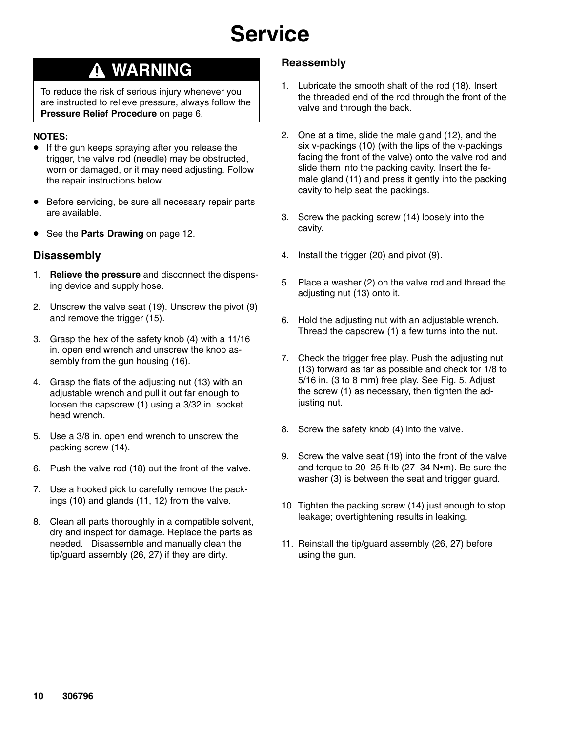# **Service**

### **WARNING**

To reduce the risk of serious injury whenever you are instructed to relieve pressure, always follow the **Pressure Relief Procedure** on page 6.

#### **NOTES:**

- **If the gun keeps spraying after you release the** trigger, the valve rod (needle) may be obstructed, worn or damaged, or it may need adjusting. Follow the repair instructions below.
- **Before servicing, be sure all necessary repair parts** are available.
- **See the Parts Drawing** on page 12.

#### **Disassembly**

- 1. **Relieve the pressure** and disconnect the dispensing device and supply hose.
- 2. Unscrew the valve seat (19). Unscrew the pivot (9) and remove the trigger (15).
- 3. Grasp the hex of the safety knob (4) with a 11/16 in. open end wrench and unscrew the knob assembly from the gun housing (16).
- 4. Grasp the flats of the adjusting nut (13) with an adjustable wrench and pull it out far enough to loosen the capscrew (1) using a 3/32 in. socket head wrench.
- 5. Use a 3/8 in. open end wrench to unscrew the packing screw (14).
- 6. Push the valve rod (18) out the front of the valve.
- 7. Use a hooked pick to carefully remove the packings (10) and glands (11, 12) from the valve.
- 8. Clean all parts thoroughly in a compatible solvent, dry and inspect for damage. Replace the parts as needed. Disassemble and manually clean the tip/guard assembly (26, 27) if they are dirty.

#### **Reassembly**

- 1. Lubricate the smooth shaft of the rod (18). Insert the threaded end of the rod through the front of the valve and through the back.
- 2. One at a time, slide the male gland (12), and the six v-packings (10) (with the lips of the v-packings facing the front of the valve) onto the valve rod and slide them into the packing cavity. Insert the female gland (11) and press it gently into the packing cavity to help seat the packings.
- 3. Screw the packing screw (14) loosely into the cavity.
- 4. Install the trigger (20) and pivot (9).
- 5. Place a washer (2) on the valve rod and thread the adjusting nut (13) onto it.
- 6. Hold the adjusting nut with an adjustable wrench. Thread the capscrew (1) a few turns into the nut.
- 7. Check the trigger free play. Push the adjusting nut (13) forward as far as possible and check for 1/8 to 5/16 in. (3 to 8 mm) free play. See Fig. 5. Adjust the screw (1) as necessary, then tighten the adjusting nut.
- 8. Screw the safety knob (4) into the valve.
- 9. Screw the valve seat (19) into the front of the valve and torque to 20-25 ft-lb  $(27-34 \text{ N} \cdot \text{m})$ . Be sure the washer (3) is between the seat and trigger guard.
- 10. Tighten the packing screw (14) just enough to stop leakage; overtightening results in leaking.
- 11. Reinstall the tip/guard assembly (26, 27) before using the gun.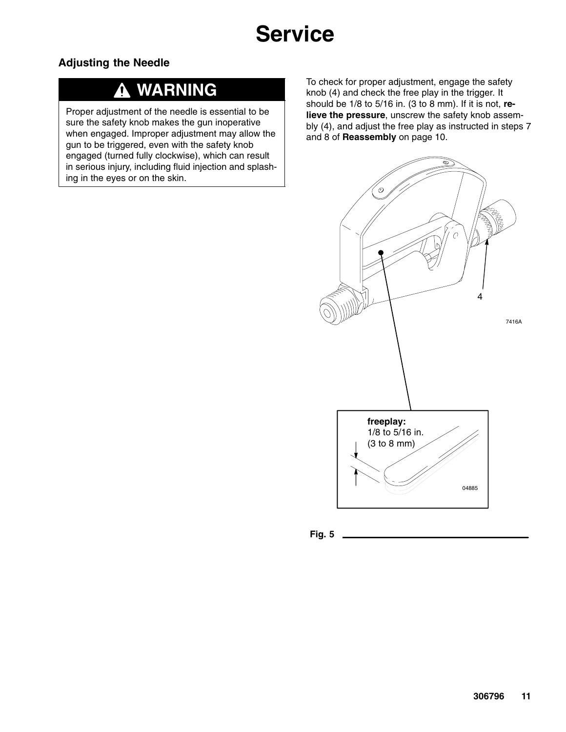# **Service**

#### **Adjusting the Needle**

## **WARNING**

Proper adjustment of the needle is essential to be sure the safety knob makes the gun inoperative when engaged. Improper adjustment may allow the gun to be triggered, even with the safety knob engaged (turned fully clockwise), which can result in serious injury, including fluid injection and splashing in the eyes or on the skin.

To check for proper adjustment, engage the safety knob (4) and check the free play in the trigger. It should be 1/8 to 5/16 in. (3 to 8 mm). If it is not, **relieve the pressure**, unscrew the safety knob assembly (4), and adjust the free play as instructed in steps 7 and 8 of **Reassembly** on page 10.



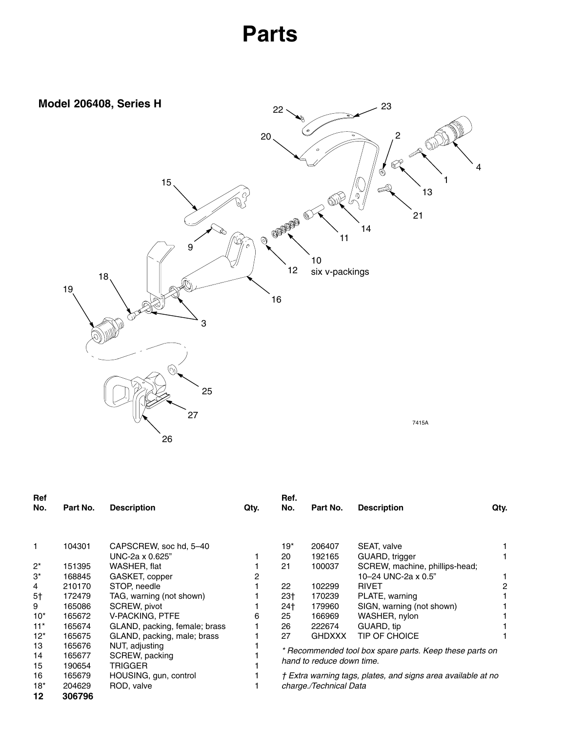# **Parts**

<span id="page-11-0"></span>

| Ref            |          |                               |      | Ref.                                                                                 |                        |                                |      |
|----------------|----------|-------------------------------|------|--------------------------------------------------------------------------------------|------------------------|--------------------------------|------|
| No.            | Part No. | <b>Description</b>            | Qty. | No.                                                                                  | Part No.               | <b>Description</b>             | Qty. |
|                |          |                               |      |                                                                                      |                        |                                |      |
| 1              | 104301   | CAPSCREW, soc hd, 5-40        |      | $19*$                                                                                | 206407                 | SEAT, valve                    |      |
|                |          | UNC-2a x 0.625"               |      | 20                                                                                   | 192165                 | GUARD, trigger                 |      |
| $2^*$          | 151395   | WASHER, flat                  |      | 21                                                                                   | 100037                 | SCREW, machine, phillips-head; |      |
| 3*             | 168845   | GASKET, copper                |      |                                                                                      |                        | 10-24 UNC-2a x 0.5"            |      |
| 4              | 210170   | STOP, needle                  |      | 22                                                                                   | 102299                 | <b>RIVET</b>                   |      |
| 5 <sup>†</sup> | 172479   | TAG, warning (not shown)      |      | $23+$                                                                                | 170239                 | PLATE, warning                 |      |
| 9              | 165086   | SCREW, pivot                  |      | 24†                                                                                  | 179960                 | SIGN, warning (not shown)      |      |
| $10*$          | 165672   | <b>V-PACKING, PTFE</b>        | 6    | 25                                                                                   | 166969                 | WASHER, nylon                  |      |
| $11*$          | 165674   | GLAND, packing, female; brass |      | 26                                                                                   | 222674                 | GUARD, tip                     |      |
| $12*$          | 165675   | GLAND, packing, male; brass   |      | 27                                                                                   | GHDXXX                 | TIP OF CHOICE                  |      |
| 13             | 165676   | NUT, adjusting                |      |                                                                                      |                        |                                |      |
| 14             | 165677   | SCREW, packing                |      | * Recommended tool box spare parts. Keep these parts on<br>hand to reduce down time. |                        |                                |      |
| 15             | 190654   | <b>TRIGGER</b>                |      |                                                                                      |                        |                                |      |
| 16             | 165679   | HOUSING, gun, control         |      | † Extra warning tags, plates, and signs area available at no                         |                        |                                |      |
| $18*$          | 204629   | ROD, valve                    |      |                                                                                      | charge./Technical Data |                                |      |
| 12             | 306796   |                               |      |                                                                                      |                        |                                |      |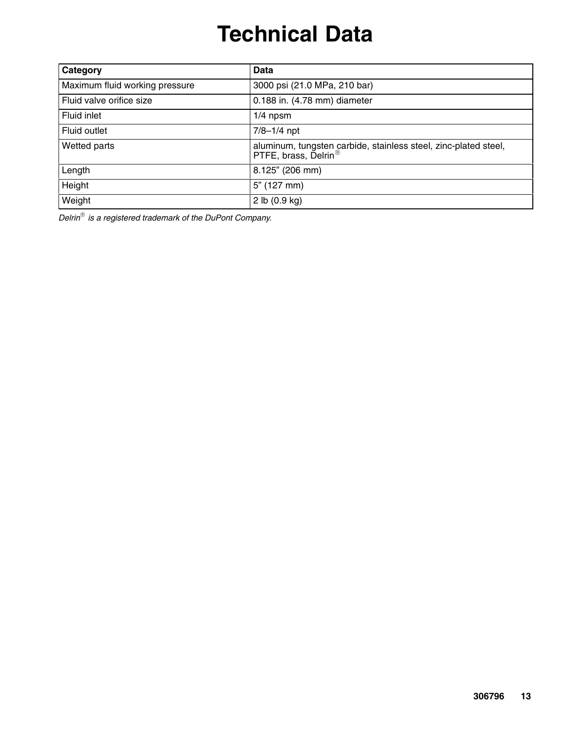# **Technical Data**

| Category                       | Data                                                                                                |
|--------------------------------|-----------------------------------------------------------------------------------------------------|
| Maximum fluid working pressure | 3000 psi (21.0 MPa, 210 bar)                                                                        |
| Fluid valve orifice size       | 0.188 in. (4.78 mm) diameter                                                                        |
| Fluid inlet                    | $1/4$ npsm                                                                                          |
| Fluid outlet                   | $7/8 - 1/4$ npt                                                                                     |
| Wetted parts                   | aluminum, tungsten carbide, stainless steel, zinc-plated steel,<br>PTFE, brass, Delrin <sup>®</sup> |
| Length                         | 8.125" (206 mm)                                                                                     |
| Height                         | $5"$ (127 mm)                                                                                       |
| Weight                         | 2 lb $(0.9$ kg)                                                                                     |

*Delrin is a registered trademark of the DuPont Company.*